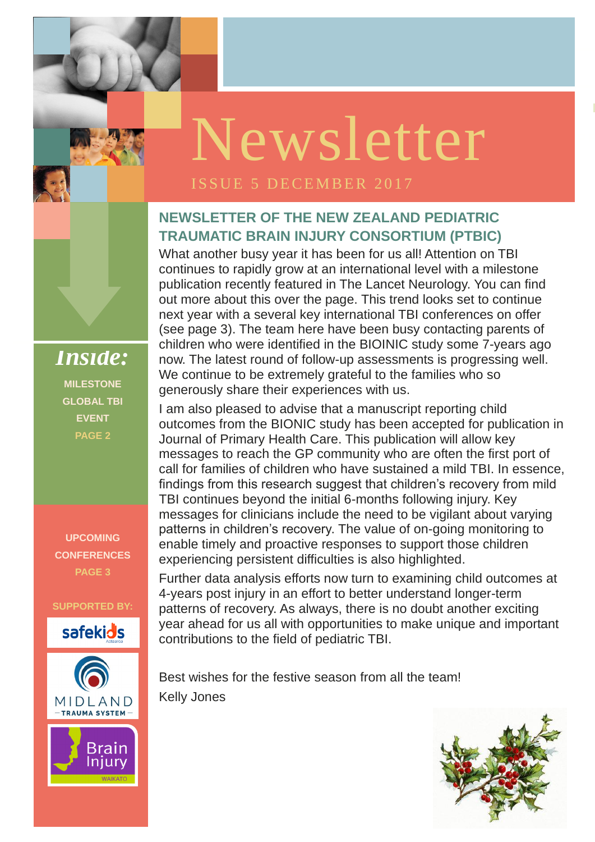**ISSUE 1 OCTOBER** 

### **NEWSLETTER OF THE NEW ZEALAND PEDIATRIC TRAUMATIC BRAIN INJURY CONSORTIUM (PTBIC)**

What another busy year it has been for us all! Attention on TBI continues to rapidly grow at an international level with a milestone publication recently featured in The Lancet Neurology. You can find out more about this over the page. This trend looks set to continue next year with a several key international TBI conferences on offer (see page 3). The team here have been busy contacting parents of children who were identified in the BIOINIC study some 7-years ago now. The latest round of follow-up assessments is progressing well. We continue to be extremely grateful to the families who so generously share their experiences with us.

enable timely and proactive responses to support those children experiencing persistent difficulties is also highlighted. I am also pleased to advise that a manuscript reporting child outcomes from the BIONIC study has been accepted for publication in Journal of Primary Health Care. This publication will allow key messages to reach the GP community who are often the first port of call for families of children who have sustained a mild TBI. In essence, findings from this research suggest that children's recovery from mild TBI continues beyond the initial 6-months following injury. Key messages for clinicians include the need to be vigilant about varying patterns in children's recovery. The value of on-going monitoring to

Further data analysis efforts now turn to examining child outcomes at 4-years post injury in an effort to better understand longer-term patterns of recovery. As always, there is no doubt another exciting year ahead for us all with opportunities to make unique and important

Best wishes for the festive season from all the team! Kelly Jones



*Inside:* **MILESTONE GLOBAL TBI EVENT PAGE 2**

**UPCOMING CONFERENCES PAGE 3**

**SUPPORTED BY:**



contributions to the field of pediatric TBI.



# Newsletter

### ISSUE 5 DECEMBER 2017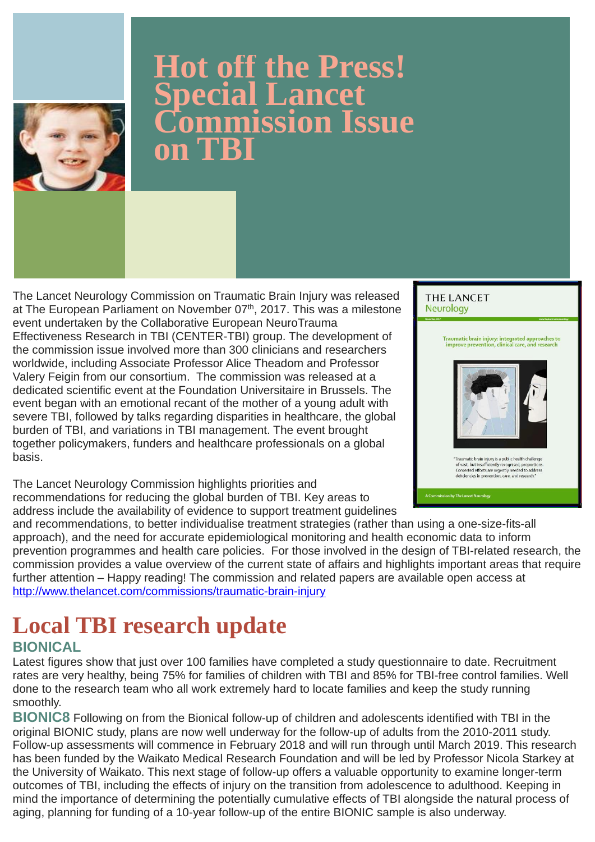The Lancet Neurology Commission on Traumatic Brain Injury was released at The European Parliament on November 07<sup>th</sup>, 2017. This was a milestone event undertaken by the Collaborative European NeuroTrauma Effectiveness Research in TBI (CENTER-TBI) group. The development of the commission issue involved more than 300 clinicians and researchers worldwide, including Associate Professor Alice Theadom and Professor Valery Feigin from our consortium. The commission was released at a dedicated scientific event at the Foundation Universitaire in Brussels. The event began with an emotional recant of the mother of a young adult with severe TBI, followed by talks regarding disparities in healthcare, the global burden of TBI, and variations in TBI management. The event brought together policymakers, funders and healthcare professionals on a global basis.

The Lancet Neurology Commission highlights priorities and recommendations for reducing the global burden of TBI. Key areas to address include the availability of evidence to support treatment guidelines **THE LANCET Neurology** 

> Traumatic brain injury: integrated approaches to improve prevention, clinical care, and research



"Traumatic brain injury is a public health challenge of vast, but insufficiently recognised, proportions. Concerted efforts are urgently needed to address deficiencies in prevention, care, and research."

n by The Lancet Neurology

and recommendations, to better individualise treatment strategies (rather than using a one-size-fits-all approach), and the need for accurate epidemiological monitoring and health economic data to inform prevention programmes and health care policies. For those involved in the design of TBI-related research, the commission provides a value overview of the current state of affairs and highlights important areas that require further attention – Happy reading! The commission and related papers are available open access at <http://www.thelancet.com/commissions/traumatic-brain-injury>

### **Local TBI research update**

### **BIONICAL**

Latest figures show that just over 100 families have completed a study questionnaire to date. Recruitment rates are very healthy, being 75% for families of children with TBI and 85% for TBI-free control families. Well done to the research team who all work extremely hard to locate families and keep the study running smoothly.

**BIONIC8** Following on from the Bionical follow-up of children and adolescents identified with TBI in the original BIONIC study, plans are now well underway for the follow-up of adults from the 2010-2011 study. Follow-up assessments will commence in February 2018 and will run through until March 2019. This research has been funded by the Waikato Medical Research Foundation and will be led by Professor Nicola Starkey at the University of Waikato. This next stage of follow-up offers a valuable opportunity to examine longer-term outcomes of TBI, including the effects of injury on the transition from adolescence to adulthood. Keeping in mind the importance of determining the potentially cumulative effects of TBI alongside the natural process of aging, planning for funding of a 10-year follow-up of the entire BIONIC sample is also underway.



# **Hot off the Press! Special Lancet Commission Issue on TBI**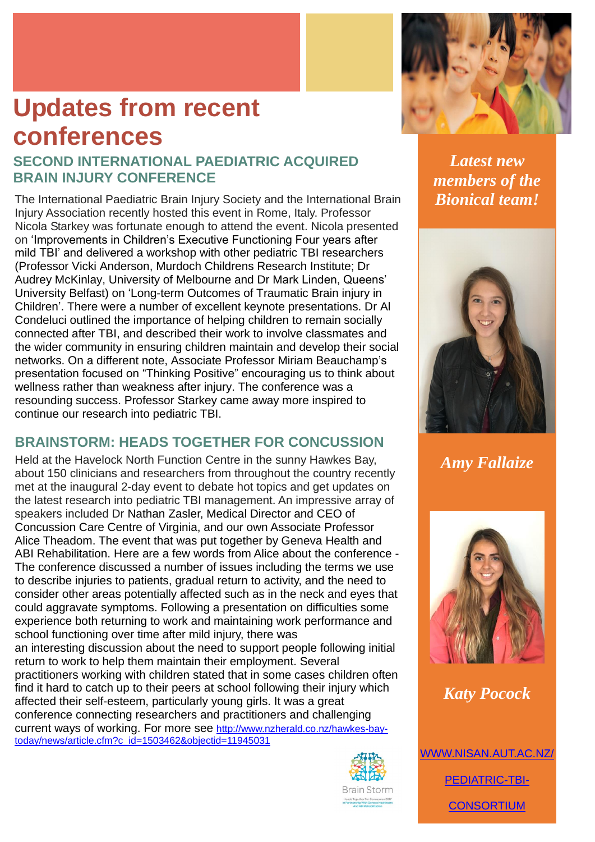The International Paediatric Brain Injury Society and the International Brain Injury Association recently hosted this event in Rome, Italy. Professor Nicola Starkey was fortunate enough to attend the event. Nicola presented on 'Improvements in Children's Executive Functioning Four years after mild TBI' and delivered a workshop with other pediatric TBI researchers (Professor Vicki Anderson, Murdoch Childrens Research Institute; Dr Audrey McKinlay, University of Melbourne and Dr Mark Linden, Queens' University Belfast) on 'Long-term Outcomes of Traumatic Brain injury in Children'. There were a number of excellent keynote presentations. Dr Al Condeluci outlined the importance of helping children to remain socially connected after TBI, and described their work to involve classmates and the wider community in ensuring children maintain and develop their social networks. On a different note, Associate Professor Miriam Beauchamp's presentation focused on "Thinking Positive" encouraging us to think about wellness rather than weakness after injury. The conference was a resounding success. Professor Starkey came away more inspired to continue our research into pediatric TBI.

### **BRAINSTORM: HEADS TOGETHER FOR CONCUSSION**

Held at the Havelock North Function Centre in the sunny Hawkes Bay, about 150 clinicians and researchers from throughout the country recently met at the inaugural 2-day event to debate hot topics and get updates on the latest research into pediatric TBI management. An impressive array of speakers included Dr Nathan Zasler, Medical Director and CEO of Concussion Care Centre of Virginia, and our own Associate Professor Alice Theadom. The event that was put together by Geneva Health and ABI Rehabilitation. Here are a few words from Alice about the conference - The conference discussed a number of issues including the terms we use to describe injuries to patients, gradual return to activity, and the need to consider other areas potentially affected such as in the neck and eyes that could aggravate symptoms. Following a presentation on difficulties some experience both returning to work and maintaining work performance and school functioning over time after mild injury, there was an interesting discussion about the need to support people following initial return to work to help them maintain their employment. Several practitioners working with children stated that in some cases children often find it hard to catch up to their peers at school following their injury which affected their self-esteem, particularly young girls. It was a great conference connecting researchers and practitioners and challenging current ways of working. For more see [http://www.nzherald.co.nz/hawkes-bay](http://www.nzherald.co.nz/hawkes-bay-today/news/article.cfm?c_id=1503462&objectid=11945031)[today/news/article.cfm?c\\_id=1503462&objectid=11945031](http://www.nzherald.co.nz/hawkes-bay-today/news/article.cfm?c_id=1503462&objectid=11945031)



*Latest new members of the Bionical team!*



*Amy Fallaize*







### *Katy Pocock*

[WWW.NISAN.AUT.AC.NZ/](Previous%20drafts/www.nisan.aut.ac.nz/Pediatric-TBI-Consortium)

[PEDIATRIC-TBI-](Previous%20drafts/www.nisan.aut.ac.nz/Pediatric-TBI-Consortium)



# **Updates from recent conferences**

### **SECOND INTERNATIONAL PAEDIATRIC ACQUIRED BRAIN INJURY CONFERENCE**